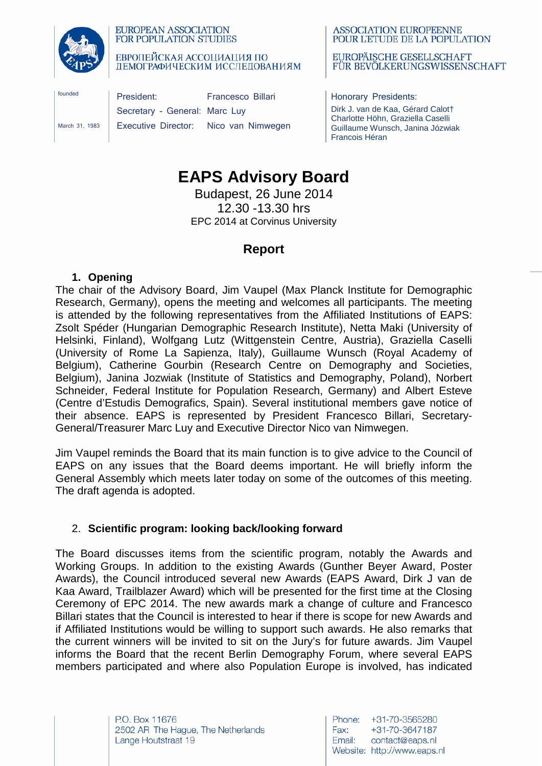

#### **EUROPEAN ASSOCIATION FOR POPULATION STUDIES**

ЕВРОПЕЙСКАЯ АССОЦИАЦИЯ ПО **ЛЕМОГРАФИЧЕСКИМ ИССЛЕДОВАНИЯМ** 

| founded        | President:                    | <b>Francesco Billari</b>              |
|----------------|-------------------------------|---------------------------------------|
|                | Secretary - General: Marc Luy |                                       |
| March 31, 1983 |                               | Executive Director: Nico van Nimwegen |

**ASSOCIATION EUROPEENNE** POUR L'ETUDE DE LA POPULATION

#### EUROPÄISCHE GESELLSCHAFT FÜR BEVÖLKERUNGSWISSENSCHAFT

Honorary Presidents: Dirk J. van de Kaa, Gérard Calot† Charlotte Höhn, Graziella Caselli Guillaume Wunsch, Janina Józwiak Francois Héran

# **EAPS Advisory Board**

Budapest, 26 June 2014 12.30 -13.30 hrs EPC 2014 at Corvinus University

## **Report**

## **1. Opening**

The chair of the Advisory Board, Jim Vaupel (Max Planck Institute for Demographic Research, Germany), opens the meeting and welcomes all participants. The meeting is attended by the following representatives from the Affiliated Institutions of EAPS: Zsolt Spéder (Hungarian Demographic Research Institute), Netta Maki (University of Helsinki, Finland), Wolfgang Lutz (Wittgenstein Centre, Austria), Graziella Caselli (University of Rome La Sapienza, Italy), Guillaume Wunsch (Royal Academy of Belgium), Catherine Gourbin (Research Centre on Demography and Societies, Belgium), Janina Jozwiak (Institute of Statistics and Demography, Poland), Norbert Schneider, Federal Institute for Population Research, Germany) and Albert Esteve (Centre d'Estudis Demografics, Spain). Several institutional members gave notice of their absence. EAPS is represented by President Francesco Billari, Secretary-General/Treasurer Marc Luy and Executive Director Nico van Nimwegen.

Jim Vaupel reminds the Board that its main function is to give advice to the Council of EAPS on any issues that the Board deems important. He will briefly inform the General Assembly which meets later today on some of the outcomes of this meeting. The draft agenda is adopted.

## 2. **Scientific program: looking back/looking forward**

The Board discusses items from the scientific program, notably the Awards and Working Groups. In addition to the existing Awards (Gunther Beyer Award, Poster Awards), the Council introduced several new Awards (EAPS Award, Dirk J van de Kaa Award, Trailblazer Award) which will be presented for the first time at the Closing Ceremony of EPC 2014. The new awards mark a change of culture and Francesco Billari states that the Council is interested to hear if there is scope for new Awards and if Affiliated Institutions would be willing to support such awards. He also remarks that the current winners will be invited to sit on the Jury's for future awards. Jim Vaupel informs the Board that the recent Berlin Demography Forum, where several EAPS members participated and where also Population Europe is involved, has indicated

> P.O. Box 11676 2502 AR The Hague, The Netherlands Lange Houtstraat 19

Phone: +31-70-3565280 Fax: +31-70-3647187 Email: contact@eaps.nl Website: http://www.eaps.nl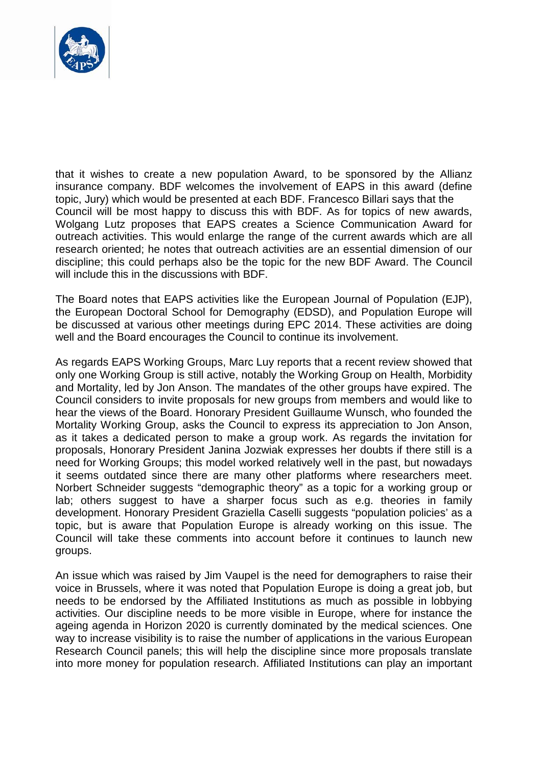

that it wishes to create a new population Award, to be sponsored by the Allianz insurance company. BDF welcomes the involvement of EAPS in this award (define topic, Jury) which would be presented at each BDF. Francesco Billari says that the Council will be most happy to discuss this with BDF. As for topics of new awards, Wolgang Lutz proposes that EAPS creates a Science Communication Award for outreach activities. This would enlarge the range of the current awards which are all research oriented; he notes that outreach activities are an essential dimension of our discipline; this could perhaps also be the topic for the new BDF Award. The Council will include this in the discussions with BDF.

The Board notes that EAPS activities like the European Journal of Population (EJP), the European Doctoral School for Demography (EDSD), and Population Europe will be discussed at various other meetings during EPC 2014. These activities are doing well and the Board encourages the Council to continue its involvement.

As regards EAPS Working Groups, Marc Luy reports that a recent review showed that only one Working Group is still active, notably the Working Group on Health, Morbidity and Mortality, led by Jon Anson. The mandates of the other groups have expired. The Council considers to invite proposals for new groups from members and would like to hear the views of the Board. Honorary President Guillaume Wunsch, who founded the Mortality Working Group, asks the Council to express its appreciation to Jon Anson, as it takes a dedicated person to make a group work. As regards the invitation for proposals, Honorary President Janina Jozwiak expresses her doubts if there still is a need for Working Groups; this model worked relatively well in the past, but nowadays it seems outdated since there are many other platforms where researchers meet. Norbert Schneider suggests "demographic theory" as a topic for a working group or lab; others suggest to have a sharper focus such as e.g. theories in family development. Honorary President Graziella Caselli suggests "population policies' as a topic, but is aware that Population Europe is already working on this issue. The Council will take these comments into account before it continues to launch new groups.

An issue which was raised by Jim Vaupel is the need for demographers to raise their voice in Brussels, where it was noted that Population Europe is doing a great job, but needs to be endorsed by the Affiliated Institutions as much as possible in lobbying activities. Our discipline needs to be more visible in Europe, where for instance the ageing agenda in Horizon 2020 is currently dominated by the medical sciences. One way to increase visibility is to raise the number of applications in the various European Research Council panels; this will help the discipline since more proposals translate into more money for population research. Affiliated Institutions can play an important